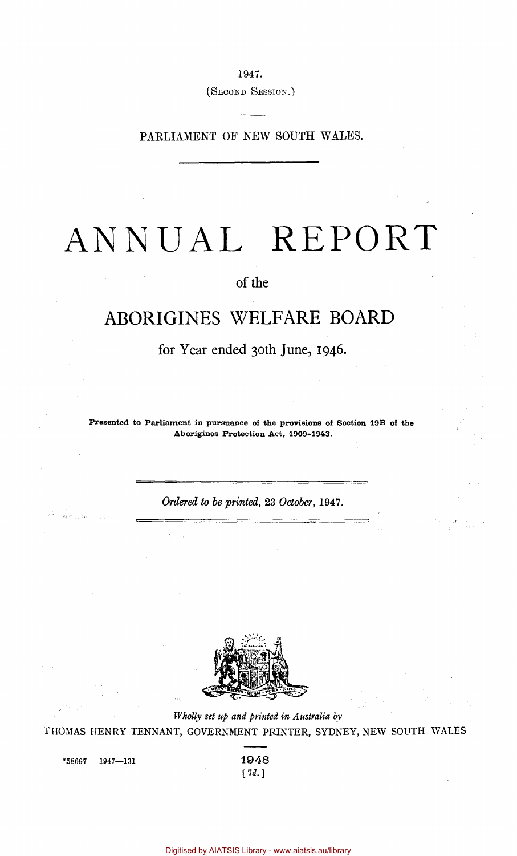1947.

(SECOND SESSION.)

PARLIAMENT OF NEW SOUTH WALES.

# ANNUAL REPORT

# of the

# ABORIGINES WELFARE BOARD

for Year ended 30th June, 1946.

Presented to Parliament in pursuance of the provisions of Section 19B of the Aborigines Protection Act, 1909-1943.

*Ordered to be printed,* 23 *October,* **1947.** 



*Wholly set up and printed in Australia by*  THOMAS HENRY TENNANT, GOVERNMENT PRINTER, SYDNEY, NEW SOUTH WALES

 $*$ 58697 1947—131 1948

*[7d.)*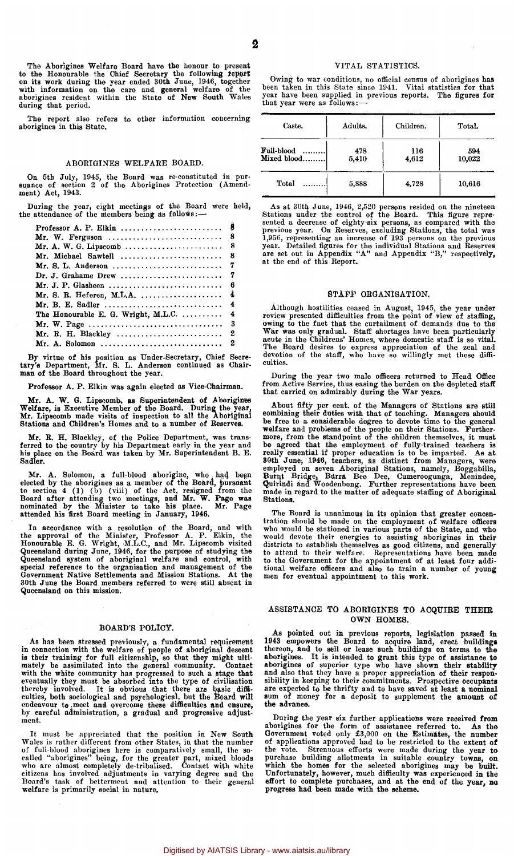The Aborigines Welfare Board have the honour to present to the Honourable the Chief Secretary the following report<br>on its work during the year ended 30th June, 1946, together<br>with information on the care and general welfare of the<br>aborigines resident within the State of New Sou during that period.

The report also refers to other information concerning aborigines in this State.

#### ABORIGINES WELFARE BOARD.

On 5th July, 1945, the Board was re-constituted in pur-suance of section 2 of the Aborigines Protection (Amendment) Act, 1943.

During the year, eight meetings of the Board were held, the attendance of the members being as follows:—

|                                                                                            | - 8                     |
|--------------------------------------------------------------------------------------------|-------------------------|
|                                                                                            |                         |
|                                                                                            |                         |
|                                                                                            |                         |
|                                                                                            |                         |
|                                                                                            |                         |
| The Honourable E. G. Wright, M.L.C. $\ldots$                                               | $\overline{\mathbf{4}}$ |
| Mr. W. Page $\ldots \ldots \ldots \ldots \ldots \ldots \ldots \ldots \ldots \ldots \ldots$ | -3                      |
|                                                                                            |                         |
|                                                                                            |                         |
|                                                                                            |                         |

By virtue of his position as Under-Secretary, Chief Secre-tary's Department, Mr. S. L. Anderson continued as Chair-man of the Board throughout the year.

Professor A. P. Elkin was again elected as Vice-Chairman.

Mr. A. W. G. Lipscomb, as Superintendent of Aborigines Welfare, is Executive Member of the Board. During the year, Mr. Lipscomb made visits of inspection to all the Aboriginal Stations and Children's Homes and to a number of Reserves.

Mr. R. H. Blackley, of the Police Department, was trans-ferred to the country by his Department early in the year and his place on the Board was taken by Mr. Superintendent B. E. Sadler.

Mr. A. Solomon, a full-blood aborigine, who had been<br>elected by the aborigines as a member of the Board, pursuant<br>to section 4 (1) (b) (viii) of the Act, resigned from the<br>Board after attending two meetings, and Mr. W. Pag

In accordance with a resolution of the Board, and with<br>the approval of the Minister, Professor A. P. Elkin, the<br>Honourable E. G. Wright, M.L.C., and Mr. Lipscomb visited<br>Queensland during June, 1946, for the purpose of stu 30th June the Board members referred to were still absent in Queensland on this mission.

#### BOARD'S POLICY.

As has been stressed previously, a fundamental requirement in connection with the welfare of people of aboriginal descent is their training for full citizenship, so that they might ulti-mately be assimilated into the general community. Contact with the white community has progressed to such a stage that<br>eventually they must be absorbed into the type of civilisation<br>thereby involved. It is obvious that there are basic difficulties, both sociological and psychological, but the Board will endeavour to meet and overcome these difficulties and ensure, by careful administration, a gradual and progressive adjustment.

It must be appreciated that the position in New South Wales is rather different from other States, in that the number<br>of full-blood aborigines here is comparatively small, the so-<br>called "aborigines" being, for the greater part, mixed bloods<br>who are almost completely de-triba

### VITAL STATISTICS.

Owing to war conditions, no official census of aborigines has been taken in this State since 1941. Vital statistics for that year have been supplied in previous reports. The figures for that year were as follows:-

| Caste.                        | Adults.      | Children.    | Total.        |
|-------------------------------|--------------|--------------|---------------|
| Full-blood<br><br>Mixed blood | 478<br>5,410 | 116<br>4,612 | 594<br>10,022 |
| Total                         | 5,888        | 4.728        | 10,616        |

As at 30th June, 1946, 2,520 persons resided on the nineteen<br>Stations under the control of the Board. This figure repre-<br>sented a decrease of eighty-six persons, as compared with the<br>previous year. On Reserves, excluding at the end of this Report.

#### STAFF ORGANISATION.

Although hostilities ceased in August, 1945, the year under<br>review presented difficulties from the point of view of staffing,<br>owing to the fact that the curtailment of demands due to the<br>War was only gradual. Staff shortag culties.

During the year two male officers returned to Head Office from Active Service, thus easing the burden on the depleted staff that carried on admirably during the War years.

About fifty per cent. of the Managers of Stations are still<br>combining their duties with that of teaching. Managers should<br>be free to a considerable degree to devote time to the general<br>welfare and problems of the people on

The Board is unanimous in its opinion that greater concen-tration should be made on the employment of welfare officers who would be stationed in various parts of the State, and who would devote their energies to assisting aborigines in their districts to establish themselves as good citizens, and generally to attend to their welfare. Representations have been made to the Government for the appointmen men for eventual appointment to this work.

#### ASSISTANCE TO ABORIGINES TO ACQUIRE THEIR OWN HOMES.

As pointed out in previous reports, legislation passed in 1943 empowers the Board to acquire land, erect buildings thereon, and to sell or lease such buildings on terms to the aborigines. It is intended to grant this type

During the year six further applications were received from<br>aborigines for the form of assistance referred to. As the<br>Government voted only £3,000 on the Estimaties, the number<br>of applications approved had to be restricted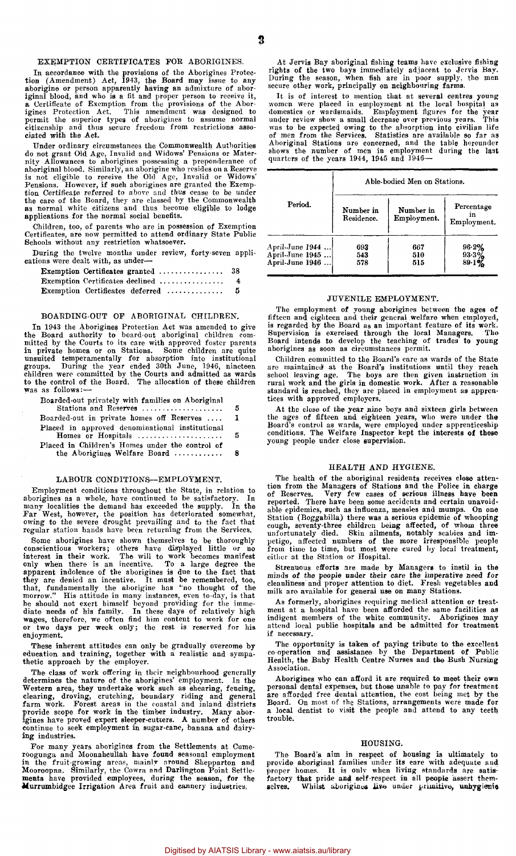#### EXEMPTION CERTIFICATES FOE ABORIGINES.

In accordance with the provisions of the Aborigines Protection (Amendment) Act, 1943, the Board may issue to any interpretion or person apparently having an admixture of aboriginal blood, and who is a fit and proper person

Under ordinary circumstances the Commonwealth Authorities<br>do not grant Od Age, Invalid and Widows' Pensions or Mater-<br>nity Allowances to aborigines possessing a preponderance of<br>aboriginal blood. Similarly, an aborigine wh as normal white citizens and thus become eligible to lodge applications for the normal social benefits.

Children, too, of parents who are in possession of Exemption Certificates, are now permitted to attend ordinary State Public Schools without any restriction whatsoever.

During the twelve months under review, forty-seven applications were dealt with, as under-

| Exemption Certificates declined | $\overline{4}$ |
|---------------------------------|----------------|
| Exemption Certificates deferred | -5             |

#### BOARDING-OUT OF ABORIGINAL CHILDREN.

In 1943 the Aborigines Protection Act was amended to give the Board authority to board-out aboriginal children com-mitted by the Courts to its care with approved foster parents in private homes or on Stations. Some children are quite<br>unsuited temperamentally for absorption into institutional<br>groups. During the year ended 30th June, 1946, nineteen<br>children were committed by the Courts and admitted to the control of the Board. The allocation of these children was as follows:—

| Boarded-out privately with families on Aboriginal |     |
|---------------------------------------------------|-----|
| Stations and Reserves                             | -5  |
| Boarded-out in private homes off Reserves         | 1   |
| Placed in approved denominational institutional   |     |
| Homes or Hospitals                                | -5  |
| Placed in Children's Homes under the control of   |     |
| the Aborigines Welfare Board                      | - 8 |

#### LABOUR CONDITIONS—EMPLOYMENT.

Employment conditions throughout the State, in relation to aborigines as a whole, have continued to be satisfactory. In<br>many localities the demand has exceeded the supply. In the<br>Far West, however, the position has deteriorated somewhat,<br>owing to the severe drought prevailing and

Some aborigines have shown themselves to be thoroughly<br>conscientious workers; others have displayed little or no<br>therest in their work. The will to work becomes manifest<br>only when there is an incentive. To a large degree t or two days per week only; the rest is reserved for his enjoyment.

These inherent attitudes can only be gradually overcome by education and training, together with a realistic and sympa-thetic approach by the employer.

The class of work offering in their neighbourhood generally<br>determines the nature of the aborigines' employment. In the<br>Western area, they undertake work such as shearing, fencing,<br>clearing, droving, crutching, boundary ri continue to seek employment in sugar-cane, banana and dairying industries.

For many years aborigines from the Settlements at Cume-roogunga and Moonahcullah have found seasonal employment in the fruit-growing areas, mainly around Shepparton and<br>Mooroopna. Similarly, the Cowra and Darlington Point Settle-<br>ments have provided employees, during the season, for the<br>Murrumbidgee Irrigation Area fruit and eannery

At Jervis Bay aboriginal fishing teams have exclusive fishing rights of the two bays immediately adjacent to Jervis Bay. During the season, When fish are in poor supply, the men secure other work, principally on neighbouring farms.

It is of interest to mention that at several centres young<br>women were placed in employment at the local hospital as<br>domestics or wardsmaids. Employment figures for the year<br>under review show a small decrease over previous Aboriginal Stations are concerned, and the table hereunder shows the number of men in employment during the last quarters of the years 1944, 1945 and 1946—

|                 | Able-bodied Men on Stations. |             |             |  |  |  |  |  |  |  |  |  |
|-----------------|------------------------------|-------------|-------------|--|--|--|--|--|--|--|--|--|
| Period.         | Number in                    | Number in   | Percentage  |  |  |  |  |  |  |  |  |  |
|                 | Residence.                   | Employment. | Employment. |  |  |  |  |  |  |  |  |  |
| April-June 1944 | 693                          | 667         | 96.2%       |  |  |  |  |  |  |  |  |  |
| April-June 1945 | 543                          | 510         | $93.3\%$    |  |  |  |  |  |  |  |  |  |
| April-June 1946 | 578                          | 515         | 89.1%       |  |  |  |  |  |  |  |  |  |

#### JUVENILE EMPLOYMENT.

The employment of young aborigines between the ages of fifteen and eighteen and their general welfare when employed,<br>is regarded by the Board as an important feature of its work.<br>Supervision is exercised through the local Managers. The<br>Board intends to develop the teaching of aborigines as soon as circumstances permit.

Children committed to the Board's care as wards of the State are maintained at the Board's institutions until they reach school leaving age. The boys are then given instruction in rural work and the girls in domestic work. After a reasonable standard is reached, they are placed in employment as appren-tices with approved employers.

At the close of the year nine boys and sixteen girls between the ages of fifteen and eighteen years, who were under the Board's control as wards, were employed under apprenticeship conditions. The Welfare Inspector kept the interests of these young people under close supervision.

#### HEALTH AND HYGIENE.

The health of the aboriginal residents receives close atten-tion from the Managers of Stations and the Police in charge of Reserves. Very few eases of serious illness have been reported. There have been some accidents and certain unavoidable epidemics, such as influenza, measles and mumps. On one Station (Boggabilla) there was a serious epidemic of whooping cough, seventy-three children being aff

Strenuous efforts are made by Managers to instil in the minds of the people under their care the imperative need for cleanliness and proper attention to diet. Fresh vegetables and milk are available for general use on many Stations.

As formerly, aborigines requiring medical attention or treat-<br>ment at a hospital have been afforded the same facilities as<br>indigent members of the white community. Aborigines may<br>attend local public hospitals and be admitt if necessary.

The opportunity is taken of paying tribute to the excellent co-operation and assistance by the Department of Public Health, the Baby Health Centre Nurses and the Bush Nursing Association.

Aborigines who can afford it are required to meet their own personal dental expenses, but those unable to pay for treatment are afforded free dental attention, the cost being met by the Board. On most of the Stations, arrangements were made for a local dentist to visit the people and attend to any teeth trouble.

#### HOUSING.

The Board's aim in respect of housing is ultimately to provide aboriginal families under its care with adequate and<br>proper homes. It is only when living standards are satis-<br>factory that pride and self-respect in all people assert them-<br>selves. Whilst aborigines live under pri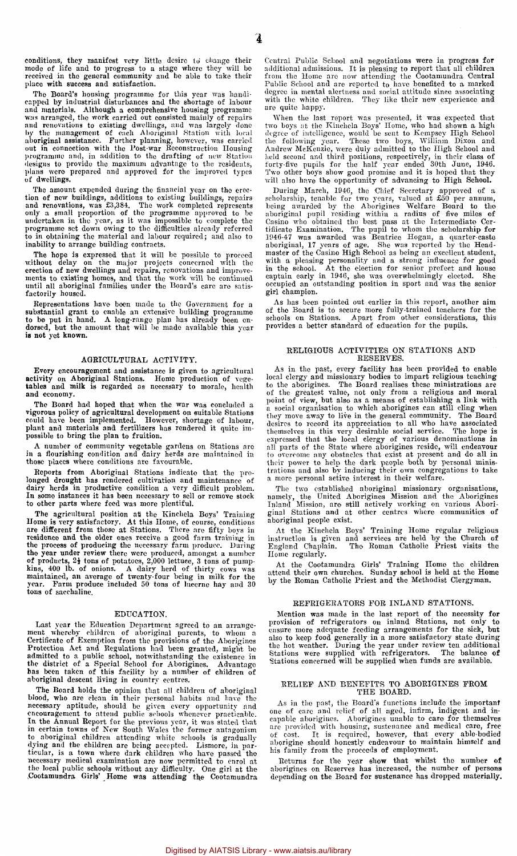conditions, they manifest very little desire to change their mode of life and to progress to a stage where they will bo received in the general community and be able to take their place with success and satisfaction.

The Board's housing programme for this year was handi-capped by industrial disturbances and the shortage of labour and materials. Although a comprehensive housing programme was arranged, the work carried out consisted mainly of repairs and renovations to existing dwellings, and was largely done<br>by the management of each Aboriginal Station with local<br>ab**original assistance. Further planning, however, was carried**<br>out in connection with the Post-war Recons programme and, in addition to the drafting of new Station designs to provide the maximum advantage to the residents, plans were prepared and approved for the improved types of dwellings.

The amount expended during the financial year on the erection of new buildings, additions to existing buildings, repairs and renovations, was £3,384. The work completed represents only a small proportion of the programme a programme set down owing to the difficulties already referred to in obtaining the material and labour required; and also to inability to arrange building contracts.

abouty to all any continues of the will be possible to proceed<br>The hope is expressed that it will be possible to proceed without delay on the major projects concerned with the<br>erection of new dwellings and repairs, renovations and improve-<br>ments to existing homes, and that the work will be continued<br>until all aboriginal families under the Bo factorily housed.

Representations have been made to the Government for a substantial grant to enable an extensive building programme to be put in hand. A long-range plan has already been endorsed, but the amount that will be made available is not yet known.

#### AGRICULTURAL ACTIVITY.

Every encouragement and assistance is given to agricultural activity on Aboriginal Stations. Home production of vege-tables and milk is regarded as necessary to morale, health and economy.

The Board had hoped that when the war was concluded a<br>vigorous policy of agricultural development on suitable Stations<br>could have been implemented. However, shortage of labour,<br>plant and materials and fertilizers has rende possible to bring the plan to fruition.

A number of community vegetable gardens on Stations are in a flourishing condition and dairy herds are maintained in those places where conditions are favourable.

Reports from Aboriginal Stations indicate that the prolonged drought has rendered cultivation and maintenance of<br>dairy herds in productive condition a very difficult problem.<br>In some instances it has been necessary to sell or remove stock<br>to other parts where feed was more pl

The agricultural position at the Kinchela Boys' Training<br>Home is very satisfactory. At this Home, of course, conditions<br>are different from those at Stations. There are fifty boys in<br>residence and the older ones receive a g the year under review there were produced, amongst a number<br>of products, 2<sup>1</sup> tons of potatoes, 2,000 lettuee, 3 tons of pump-<br>kins, 400 lb. of onions. A dairy herd of thirty cows was<br>maintained, an average of twenty-four

#### EDUCATION.

Last year the Education Department agreed to an arrangement whereby children of aboriginal parents, to whom a Certificate of Exemption from the provisions of the Aborigines Protection Act and Regulations had been granted, might be admitted to a public school, notwithstanding the existence in the district of a Special School for Aborigines. Advantage has been taken of this facility by a number of children of aboriginal descent living in country centr

The Board holds the opinion that all children of aboriginal blood, who are clean in their personal habits and have the<br>necessary aptitude, should be given every opportunity and<br>encouragement to attend public schools whenever practicable.<br>In the Annual Report for the previous year, necessary medical examination are now permitted to enrol at the local public schools without any difficulty. One girl at the Cootamundra Girls' Home was attending the Cootamundra

Central Public School and negotiations were in progress for additional admissions. It is pleasing to report that all children from the Home are now attending the Cootamundra Central<br>Public School and are reported to have benefited to a marked<br>degree in mental alertness and social attitude since associating<br>with the white children. They like their are quite happy.

When the last report was presented, it was expected that<br>two boys at the Kinchela Boys' Home, who had shown a high<br>degree of intelligence, would be sent to Kempsey High School<br>the following year. These two boys, William Di held second and third positions, respectively, in their class of forty-five pupils for the half year ended 30th June, 1946.<br>Two other boys show good promise and it is hoped that they<br>will also have the opportunity of advan

During March, 1946, the Chief Secretary approved of a scholarship, tenable for two years, valued at £50 per annum, being awarded by the Aborigines Welfare Board to the aboriginal pupil residing within a radius of five mile aboriginal, 17 years of age. She was reported by the Head-<br>master of the Casino High School as being an excellent student,<br>with a pleasing personality and a strong influence for good<br>in the school. At the election for seni girl champion.

As has been pointed out earlier in this report, another aim of the Board is to secure more fully-trained teachers for the schools on Stations. Apart from other considerations, this provides a better standard of education for the pupils.

# RELIGIOUS ACTIVITIES ON STATIONS AND RESERVES.

As in the past, every facility has been provided to enable local clergy and missionary bodies to impart religious teaching to the aborigines. The Board realises these ministrations are<br>of the greatest value, not only from a religious and moral<br>point of view, but also as a means of establishing a link with<br>a social organisation to which aborigi expressed that the local clergy of various denominations in all parts of the State where aborigines reside, will endeavour to overcome any obstacles that exist at present and do all in their power to help the dark people b

The two established aboriginal missionary organisations,<br>namely, the United Aborigines Mission and the Aborigines<br>Inland Mission, are still actively working on various Abori-<br>ginal Stations and at other centres where commu aboriginal people exist.

At the Kinchela Boys' Training Home regular religious instruction is given and services are held by the Church of England Chaplain. The Roman Catholic Priest visits the Home regularly.

At the Cootamundra Girls' Training Home the children attend their own churches. Sunday school is held at the Home by the Roman Catholic Priest and the Methodist Clergyman.

#### REFRIGERATORS FOR INLAND STATIONS.

Mention was made in the last report of the necessity for provision of refrigerators on inland Stations, not only to<br>cnsure more adequate feeding arrangements for the siek, but<br>also to keep food generally in a more satisfactory state during<br>the hot weather. During the year under

#### RELIEF AND BENEFITS TO ABORIGINES FROM THE BOARD.

As in the past, the Board's functions include the important one of care and relief of all aged, infirm, indigent and ineapable aborigines. Aborigines unable to care for themselves<br>are provided with housing, sustenance and medical care, free<br>of cost. It is required, however, that every able-bodied<br>aborigine should honestly endeavour to main his family from the proceeds of employment.

Returns for the year show that whilst the number of aborigines on Reserves has increased, the number of persons depending on the Board for sustenance has dropped materially.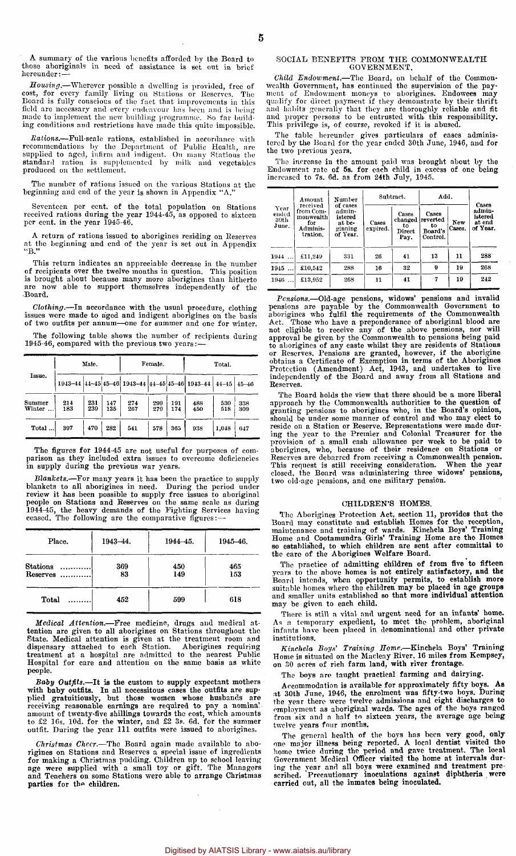A summary of the various benefits afforded by the Board to those aboriginals in need of assistance is set out in brief hereunder:—

*Housing.*—Wherever possible a dwelling is provided, free of cost, for every family living on Stations or Reserves. The Board is fully conscious of the fact that improvements in this field are necessary and every endeavour has been and is being made to implement the new building programme. So far build-ing conditions and restrictions have made this quite impossible.

Rations.—Full-scale rations, established in accordance with<br>recommendations by the Department of Public Health, are<br>supplied to aged, infirm and indigent. On many Stations the<br>standard ration is supplemented by milk and ve produced on the settlement.

The number of rations issued on the various Stations at the beginning and end of the year is shown in Appendix "A."

Seventeen per cent, of the total population on Stations received rations during the year 1944-45, as opposed to sixteen per cent, in the year 1945-46.

return of rations issued to aborigines residing on Reserves at the beginning and end of the year is set out in Appendix  $"B."$ 

This return indicates an appreciable decrease in the number of recipients over the twelve months in question. This position is brought about because many more aborigines than hitherto are now able to support themselves independently of the Board.

*Clothing.*—In accordance with the usual procedure, clothing issues were made to aged and indigent aborigines on the basis of two outfits per annum—one for summer and one for winter.

The following table shows the number of recipients during 1945-46, compared with the previous two years:—

|                              |            | Male.      |            |            | Female.    |            | Total.                                                      |            |            |  |
|------------------------------|------------|------------|------------|------------|------------|------------|-------------------------------------------------------------|------------|------------|--|
| Issue.                       |            |            |            |            |            |            | 1943-44 44-45 45-46 1943-44 44-45 45-46 1943-44 44-45 45-46 |            |            |  |
| Summer<br>Winter<br>$\cdots$ | 214<br>183 | 231<br>239 | 147<br>135 | 274<br>267 | 299<br>279 | 191<br>174 | 488<br>450                                                  | 530<br>518 | 338<br>309 |  |
| Total                        | 397        | 470        | 282        | 541        | 578        | 365        | 938                                                         | 1,048      | 647        |  |

The figures for 1944-45 are not useful for purposes of comparison as they included extra issues to overcome deficiencies in supply during the previous war years.

*Blankets.*—For many years it has been the practice to supply blankets to all aborigines in need. During the period under review it has been possible to supply free issues to aboriginal people on Stations and Reserves on the same scale as during 1944-45, the heavy demands of the Figh

| Place.                      | $1943 - 44.$ | 1944 - 45. | 1945-46.   |
|-----------------------------|--------------|------------|------------|
| Stations<br>.<br>$Reserves$ | 369<br>83    | 450<br>149 | 465<br>153 |
| Total                       | 452          | 599        | 618        |

*Medical Attention.*—Free medicine, drugs and medical at-tention are given to all aborigines on Stations throughout the State. Medical attention is given at the treatment room and dispensary attached to each Station. Aborigines requiring treatment at a hospital are admitted to the nearest Public Hospital for care and attention on the same basis as white people.

*Baby Outfits.*—It is the custom to supply expectant mothers with baby outfits. In all necessitous cases the outfits are sup-<br>plied gratuitiously, but those women whose husbands are<br>receiving reasonable earnings are required to pay a nominal<br>amount of twenty-five shillings towards

Christmas Checr.—The Board again made available to abo-<br>rigines on Stations and Reserves a special issue of ingredients<br>for making a Christmas pudding. Children up to school leaving<br>age were supplied with a small toy or gi

#### SOCIAL BENEFITS FROM THE COMMONWEALTH GOVERNMENT.

Child Endowment.—The Board, on behalf of the Common-<br>wealth Government, has continued the supervision of the pay-<br>ment of Endowment moneys to aborigines. Endowese may<br>qualify for direct payment if they demonstrate by their This privilege is, of course, revoked if it is abused.

The table hereunder gives particulars of cases adminis-tered by the Board for the year ended 30th June, 1946, and for the two previous years.

The increase in the amount paid was brought about by the Endowment rate of 5s. for each child in excess of one being increased to 7s. 6d. as from 24th July, 1945.

|                                | Amount                                                            | Number                                                         |                   | Subtract.                                | Add.                                           | Cases         |                                         |  |
|--------------------------------|-------------------------------------------------------------------|----------------------------------------------------------------|-------------------|------------------------------------------|------------------------------------------------|---------------|-----------------------------------------|--|
| Year<br>ended<br>30th<br>June. | received<br>from Com-<br>monwealth<br>for<br>Adminis-<br>tration. | of cases<br>admin-<br>istered<br>at be-<br>ginning<br>of Year. | Cases<br>expired. | Cases<br>changed<br>to<br>Direct<br>Pay. | Cases<br>reverted<br>to<br>Board's<br>Control. | New<br>Cases. | admin-<br>istered<br>at end<br>of Year. |  |
| 1944                           | £11,249                                                           | 331                                                            | 26                | 41                                       | 13                                             | 11            | 288                                     |  |
| 1945                           | £10,542                                                           | 288                                                            | 16                | 32                                       | $\Omega$                                       | 19            | 268                                     |  |
| 1946                           | £13.952                                                           | 268                                                            | 11                | 41                                       | 7                                              | 19            | 242                                     |  |

*Pensions.*—Old-age pensions, widows' pensions and invalid pensions are payable by the Commonwealth Government to aborigines who fulfil the requirements of the Commonwealth Act. Those who have a preponderance of aboriginal blood are<br>not cligible to receive any of the above pensions, nor will<br>approval be given by the Commonwealth to pensions being paid<br>to aborigines of any caste whilst they ar independently of the Board and away from all Stations and Reserves.

The Board holds the view that there should be a more liberal approach by the Commonwealth authorities to the question of approach by the Commonwealth authorities to the question of<br>granting pensions to aborigines who, in the Board's opinion,<br>should be under some manner of control and who may elect to<br>reside on a Station or Reserve. Represent

#### CHILDREN'S HOMES.

The Aborigines Protection Act, section 11, provides that the Board may constitute and establish Homes for the reception, maintenance and training of wards. Kinchela Boys' Training Home are the Homes so established, to whic the care of the Aborigines Welfare Board.

The practice of admitting children of from five to fifteen years to the above homes is not entirely satisfactory, and the Board intends, when opportunity permits, to establish more suitable homes where the children may be placed in age groups and smaller units established so that may be given to each child.

There is still a vital and urgent need for an infants' home. As a temporary expedient, to meet the problem, aboriginal infants have been placed in denominational and other private institutions.

*Kinchela Boys' Training Home.*—Kinchela Boys' Training Home is situated on the Macleay River, 16 miles from Kempsey, on 30 acres of rich farm land, with river frontage.

The boys are taught practical farming and dairying.

Accommodation is available for approximately fifty boys. As at 30th June, 1946, the enrolment was fifty-two boys. During<br>the year there were twelve admissions and eight discharges to<br>employment as aboriginal wards. The ages of the boys ranged<br>from six and a half to sixteen years, t twelve years four months.

The general health of the boys has been very good, only one major illness being reported. A local dentist visited the home twice during the period and gave treatment. The local Government Medical Officer visited the home a carried out, all the inmates being inoculated.

 $\bar{z}$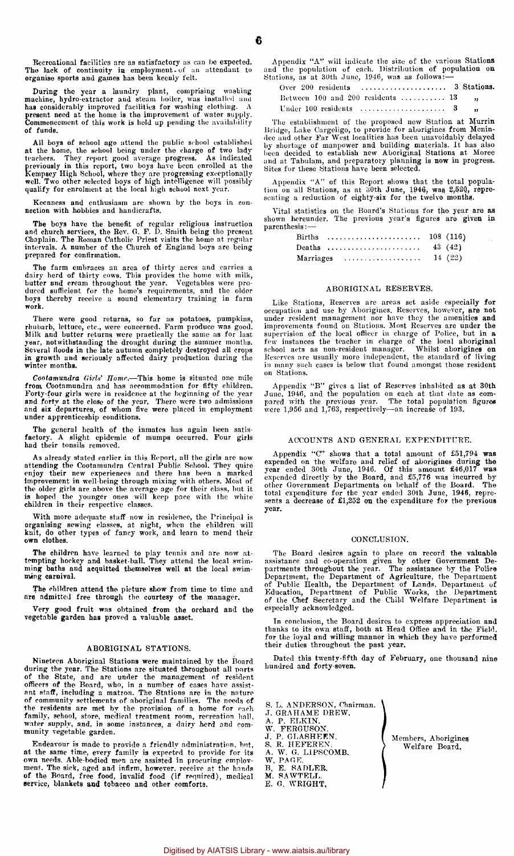Recreational facilities are as satisfactory as can be expected. The lack of continuity in employment- of an attendant to organise sports and games has been keenly felt.

During the year a laundry plant, comprising washing<br>machine, hydro-extractor and steam boiler, was installed and<br>has considerably improved facilities for washing clothing. A<br>present need at the home is the improvement of w of funds.

All boys of school age attend the public school established at the home, the school being under the charge of two lady trachers. They report good average progress. As indicated previously in this report, two boys have been enrolled at the Kempsey High School, where they are progres

Keenness and enthusiasm are shown by the boys in connection with hobbies and handicrafts.

The boys have the benefit of regular religious instruction and church services, the Rev. 6. P. D. Smith being the present Chaplain. The Roman Catholic Priest visits the home at regular intervals. A number of the Church of England boys are being prepared for confirmation.

The farm embraces an area of thirty acres and carries a<br>dairy herd of thirty cows. This provides the home with milk,<br>butter and cream throughout the year. Vegetables were pro-<br>duced sufficient for the home's requirements, work.

There were good returns, so far as potatoes, pumpkins, rhubarb, lettuce, etc., were concerned. Farm produce was good. Milk and butter returns were practically the same as for last year, notwithstanding the drought during the summer months. Several Hoods in the late autumn completely destroyed all crops in growth and seriously affected dairy production during the winter months.

*Cootamundra Girls' Home.*—This homo is situated one mile from Cootamundra and has accommodation for fifty children.<br>Forty-four girls were in residence at the beginning of the year<br>and forty at the close of the year. There were two admissions<br>and six departures, of whom five were under apprenticeship conditions.

The general health of the inmates has again been satisfactory. A slight epidemic of mumps occurred. Four girls had their tonsils removed.

As already stated earlier in this Report, all the girls are now attending the Cootamundra Central Public School. They quite enjoy their new experiences and there has been a marked<br>improvement in well-being through mixing with others. Most of<br>the older girls are above the average age for their class, but it<br>is hoped the younger ones will keep pa children in their respective classes.

With more adequate staff now in residence, the Principal is organising sewing classes, at night, when the children will knit, do other types of fancy work, and learn to mend their own clothes.

The children have learned to play tennis and are now at-tempting hockey and basket-ball. They attend the local swim-ming baths and acquitted themselves well at the local swimming carnival.

The children attend the picture show from time to time and are admitted free through the courtesy of the manager.

Very good fruit was obtained from the orchard and the vegetable garden has proved a valuable asset.

#### ABORIGINAL STATIONS.

Nineteen Aboriginal Stations were maintained by the Board during the year. The Stations are situated throughout all parts of the State, and are under the management of resident<br>officers of the Board, who, in a number of cases have assist-<br>ant staff, including a matron. The Stations are in the nature<br>of community settlements of aboriginal fami water supply, and, in some instances, a dairy herd and com-munity vegetable garden.

Endeavour is made to provide a friendly administration, but, at the same time, every family is expected to provide for its own needs. Able-bodied men are assisted in procuring employment. The sick, aged and infirm, however, receive at the hands of the Board, free food, invalid food (if required), medical service, blankets and tobacco and other comforts.

Appendix "A" will indicate the size of the various Stations and the population of each. Distribution of population on Stations, as at 30th June, 1946, was as follows:—

| Over 200 residents  3 Stations.            |  |
|--------------------------------------------|--|
| Between 100 and 200 residents  13 $\ldots$ |  |
|                                            |  |

The establishment of the proposed new Station at Murrin Bridge, Lake Cargeligo, to provide for aborigines from Menin-dee and other Far West localities has been unavoidably delayed by shortage of manpower and building materials. It has also been decided to establish new Aboriginal Stations at Moree and at Tabulam, and preparatory planning is now in progress.<br>Sites for these Stations have been selecte

Appendix "A" of this Report shows that the total popula-tion on all Stations, as at 30th June, 1946, was 2,520, repre-senting a reduction of eighty-six for the twelve months.

Vital statistics on the Board's Stations for the year are as shown hereunder. The previous year's figures are given in parenthesis:—

| Births    |  |  |  |  |  |  |  |  |  |  |  |  |        |
|-----------|--|--|--|--|--|--|--|--|--|--|--|--|--------|
| Deaths    |  |  |  |  |  |  |  |  |  |  |  |  | 43(42) |
| Marriages |  |  |  |  |  |  |  |  |  |  |  |  | 14(22) |

#### ABORIGINAL RESERVES.

Like Stations, Reserves are areas set aside especially for occupation and use by Aborigines. Reserves, however, are not under resident management nor have they the amenities and improvements found on Stations. Most Reserves are under the supervision of the local officer in charge of Police, but in a<br>few instances the teacher in charge of the local aboriginal<br>school acts as non-resident manager. Whilst aborigines on<br>Reserves are usually more independent, th in many such cases is below that found amongst those resident on Stations.

Appendix "B" gives a list of Reserves inhabited as at 30th<br>June, 1946, and the population on each at that date as com-<br>pared with the previous year. The total population figures<br>were 1,956 and 1,763, respectively—an increa

#### ACCOUNTS AND GENERAL EXPENDITURE.

Appendix "C" shows that a total amount of £51,794 was expended on the welfare and relief of aborigines during the<br>year ended 30th June, 1946. Of this amount £46,017 was<br>expended directly by the Board, and £5,776 was incurred by<br>other Government Departments on behalf of the Bo total expenditure for the year ended 30th June, 1946, repre-sents a decrease of £1,252 on the expenditure for the previous year.

#### CONCLUSION.

The Board desires again to place on record the valuable assistance and co-operation given by other Government Departments throughout the year. The assistance by the Police<br>Department, the Department of Agriculture, the Department<br>of Public Health, the Department of Lands, Depar of the Chef Secretary and the Child Welfare Department is especially acknowledged.

In conclusion, the Board desires to express appreciation and<br>thanks to its own staff, both at Head Office and in the Field,<br>for the loyal and willing manner in which they have performed<br>their duties throughout the past yea

Dated this twenty-fifth day of February, one thousand nine hundred and forty-seven.

S. L. ANDERSON, Chairman. J. GRAHAME DREW. A. P. ELKIN. W. FERGUSON. J. P. GLASHEEN. S. R. HEFEREN. A. W. G. LIPSCOMB. W. PAGE. B. E. SADLER. M. SAWTELL. E. G. WRIGHT,

Members, Aborigines Welfare Board,

Digitised by AIATSIS Library - www.aiatsis.au/library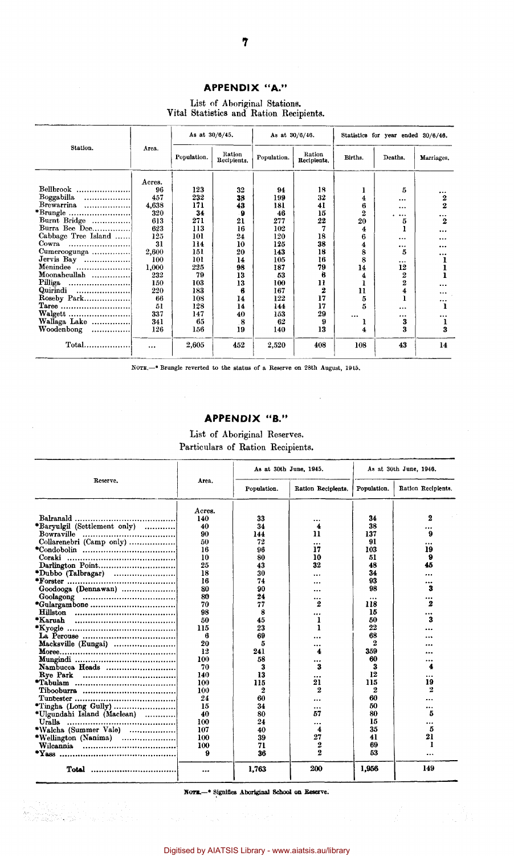# **APPENDIX "A."**

List of Aboriginal Stations. Vital Statistics and Ration Recipients.

|                                                                                                                                       |                                                                             | As at $30/6/45$ .                                                |                                                        | As at 30/6/46.                                                   |                                                       | Statistics for year ended 30/6/46.                 |                                                                        |                                          |  |
|---------------------------------------------------------------------------------------------------------------------------------------|-----------------------------------------------------------------------------|------------------------------------------------------------------|--------------------------------------------------------|------------------------------------------------------------------|-------------------------------------------------------|----------------------------------------------------|------------------------------------------------------------------------|------------------------------------------|--|
| Station.                                                                                                                              | Агеа.                                                                       | Population.                                                      | Ration<br>Recipients.                                  | Population.                                                      | Ration<br>Recipients.                                 | Births.                                            | Deaths.                                                                | Marriages.                               |  |
| Bellbrook<br>Boggabilla<br>Brewarrina<br>Burnt Bridge<br>Burra Bee Dee<br>Cabbage Tree Island<br>Cowra.                               | Acres.<br>96<br>457<br>4.638<br>320<br>613<br>623<br>125<br>31              | 123<br>232<br>171<br>34<br>271<br>113<br>101<br>114<br>151       | 32<br>38<br>43<br>. 9<br>21<br>16<br>24<br>10<br>20    | 94<br>199<br>181<br>46<br>277<br>102<br>120<br>125<br>143        | 18<br>32<br>41<br>15<br>22<br>18<br>38<br>18          | 4<br>6<br>$\overline{2}$<br>20<br>4<br>6<br>4<br>8 | 5<br>$\cdots$<br>$\ddotsc$<br>$\ddotsc$<br>5<br>$\cdots$<br>$\cdots$   | <br>2<br>2<br>$\ddotsc$<br>2<br><br><br> |  |
| Cumeroogunga<br>Jervis Bay<br>Menindee<br>Moonahcullah<br>Pilliga<br>Quirindi<br>Roseby Park<br>Walgett<br>Wallaga Lake<br>Woodenbong | 2,600<br>100<br>1.000<br>232<br>150<br>220<br>66<br>51<br>337<br>341<br>126 | 101<br>225<br>79<br>103<br>183<br>108<br>128<br>147<br>65<br>156 | 14<br>98<br>13<br>13<br>6<br>14<br>14<br>40<br>8<br>19 | 105<br>187<br>53<br>100<br>167<br>122<br>144<br>153<br>62<br>140 | 16<br>79<br>Ä<br>11<br>2<br>17<br>17<br>29<br>9<br>13 | 8<br>14<br>4<br>11<br>5<br>5<br>$\cdots$<br>4      | 5<br><br>12<br>$\overline{2}$<br>$\overline{2}$<br>4<br><br><br>3<br>3 | <br><br><br><br>3                        |  |
|                                                                                                                                       | $\ddotsc$                                                                   | 2,605                                                            | 452                                                    | 2.520                                                            | 408                                                   | 108                                                | 43                                                                     | 14                                       |  |

NOTE.—\* Brungle reverted to the status of a Reserve on 28th August, 1945.

## **APPENDIX "B."**

 $\bar{z}$ 

## List of Aboriginal Reserves. Particulars of Ration Recipients.

|                                                                               |        | As at 30th June, 1945. |                    | As at 30th June, 1946. |                    |  |  |
|-------------------------------------------------------------------------------|--------|------------------------|--------------------|------------------------|--------------------|--|--|
| Reserve.                                                                      | Area.  | Population.            | Ration Recipients. | Population.            | Ration Recipients. |  |  |
|                                                                               | Acres. |                        |                    |                        |                    |  |  |
| Balranald                                                                     | 140    | 33                     |                    | 34                     | 2                  |  |  |
| *Baryulgil (Settlement only)                                                  | 40     | 34                     | 4                  | 38                     |                    |  |  |
|                                                                               | 90     | 144                    | 11                 | 137                    | я                  |  |  |
| Collarenebri (Camp only)                                                      | 50     | 72                     |                    | 91                     |                    |  |  |
|                                                                               | 16     | 96                     | 17                 | 103                    | 19                 |  |  |
|                                                                               | 10     | 80                     | 10                 | 51                     | 9                  |  |  |
| Darlington Point                                                              | 25     | 43                     | 32                 | 48                     | 45                 |  |  |
| *Dubbo (Talbragar)                                                            | 18     | 30                     |                    | 34                     |                    |  |  |
|                                                                               | 16     | 74                     |                    | 93                     |                    |  |  |
| Goodooga (Dennawan)                                                           | 80     | 90                     | $\ddotsc$          | 98                     | 3                  |  |  |
| $Google\qquad \ldots \ldots \ldots \ldots \ldots \ldots \ldots \ldots \ldots$ | 80     | 24                     |                    |                        |                    |  |  |
|                                                                               | 70     | 77                     | 2                  | 118                    | 2                  |  |  |
|                                                                               | 98     | 8                      |                    | 15                     |                    |  |  |
|                                                                               | 50     | 45                     | 1                  | 50                     | 3                  |  |  |
|                                                                               | 115    | 23                     | 1                  | 22                     |                    |  |  |
|                                                                               | 6      | 69                     |                    | 68                     |                    |  |  |
| Macksville (Eungai)                                                           | 20     | 5                      |                    | 2                      |                    |  |  |
|                                                                               | 12     | 241                    | 4                  | 359                    |                    |  |  |
|                                                                               | 100    | 58                     | $\cdots$           | 60                     |                    |  |  |
| Nambucca Heads                                                                | 70     | 3                      | 3                  | 3                      | 4                  |  |  |
|                                                                               | 140    | 13                     | $\ddotsc$          | 12                     |                    |  |  |
|                                                                               | 100    | 115                    | 21                 | 115                    | 19                 |  |  |
|                                                                               | 100    | 2                      | 2                  | 2                      | 2                  |  |  |
|                                                                               | 24     | 60                     |                    | 60                     |                    |  |  |
|                                                                               | 15     | 34                     |                    | 50                     |                    |  |  |
| *Ulgundahi Island (Maclean)                                                   | 40     | 80                     | 57                 | 80                     | 5                  |  |  |
| Uralla                                                                        | 100    | 24                     |                    | 15                     |                    |  |  |
| *Walcha (Summer Vale)                                                         | 107    | 40                     | 4                  | 35                     | 5                  |  |  |
| *Wellington (Nanima)                                                          | 100    | 39                     | 27                 | 41                     | 21                 |  |  |
|                                                                               | 100    | 71                     | 2                  | 69                     | 1                  |  |  |
|                                                                               | 9      | 36                     | 2                  | 53                     |                    |  |  |
| Total                                                                         |        | 1,763                  | 200                | 1,956                  | 149                |  |  |

NOTE.- Signifies Aboriginal School on Reserve.